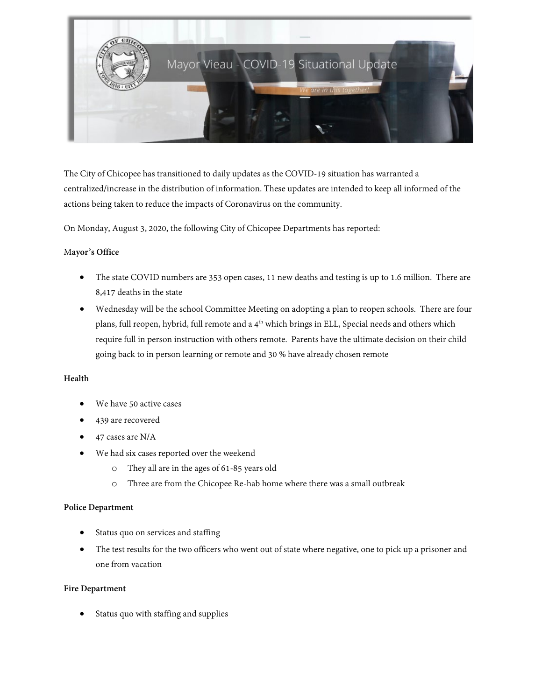

The City of Chicopee has transitioned to daily updates as the COVID-19 situation has warranted a centralized/increase in the distribution of information. These updates are intended to keep all informed of the actions being taken to reduce the impacts of Coronavirus on the community.

On Monday, August 3, 2020, the following City of Chicopee Departments has reported:

## M**ayor's Office**

- The state COVID numbers are 353 open cases, 11 new deaths and testing is up to 1.6 million. There are 8,417 deaths in the state
- Wednesday will be the school Committee Meeting on adopting a plan to reopen schools. There are four plans, full reopen, hybrid, full remote and a 4<sup>th</sup> which brings in ELL, Special needs and others which require full in person instruction with others remote. Parents have the ultimate decision on their child going back to in person learning or remote and 30 % have already chosen remote

## **Health**

- We have 50 active cases
- 439 are recovered
- 47 cases are N/A
- We had six cases reported over the weekend
	- o They all are in the ages of 61-85 years old
	- o Three are from the Chicopee Re-hab home where there was a small outbreak

#### **Police Department**

- Status quo on services and staffing
- The test results for the two officers who went out of state where negative, one to pick up a prisoner and one from vacation

#### **Fire Department**

• Status quo with staffing and supplies